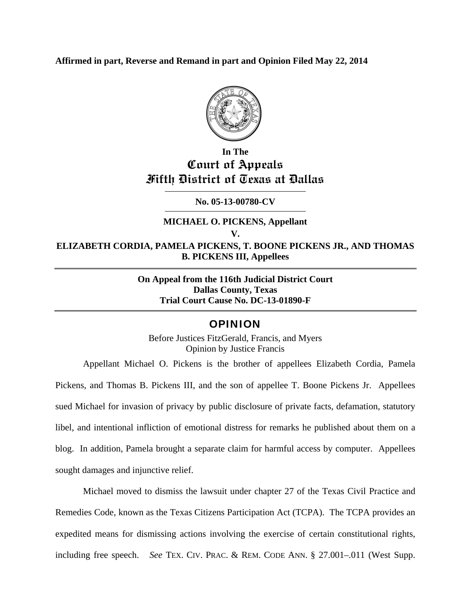**Affirmed in part, Reverse and Remand in part and Opinion Filed May 22, 2014** 



## **In The Court of Appeals Fifth District of Texas at Dallas**

**No. 05-13-00780-CV** 

### **MICHAEL O. PICKENS, Appellant V. ELIZABETH CORDIA, PAMELA PICKENS, T. BOONE PICKENS JR., AND THOMAS B. PICKENS III, Appellees**

**On Appeal from the 116th Judicial District Court Dallas County, Texas Trial Court Cause No. DC-13-01890-F** 

## OPINION

Before Justices FitzGerald, Francis, and Myers Opinion by Justice Francis

Appellant Michael O. Pickens is the brother of appellees Elizabeth Cordia, Pamela Pickens, and Thomas B. Pickens III, and the son of appellee T. Boone Pickens Jr. Appellees sued Michael for invasion of privacy by public disclosure of private facts, defamation, statutory libel, and intentional infliction of emotional distress for remarks he published about them on a blog. In addition, Pamela brought a separate claim for harmful access by computer. Appellees sought damages and injunctive relief.

Michael moved to dismiss the lawsuit under chapter 27 of the Texas Civil Practice and Remedies Code, known as the Texas Citizens Participation Act (TCPA). The TCPA provides an expedited means for dismissing actions involving the exercise of certain constitutional rights, including free speech. *See* TEX. CIV. PRAC. & REM. CODE ANN. § 27.001–.011 (West Supp.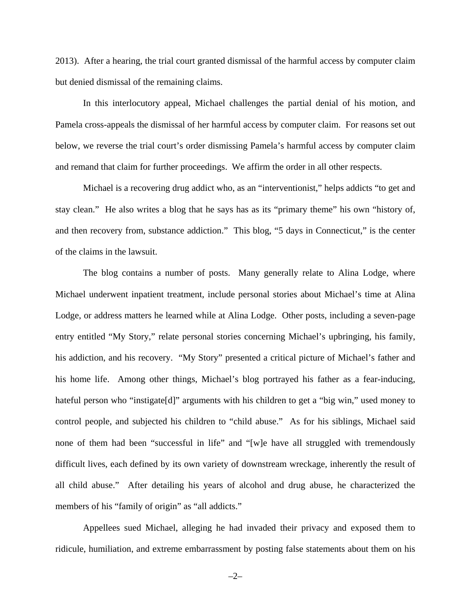2013). After a hearing, the trial court granted dismissal of the harmful access by computer claim but denied dismissal of the remaining claims.

In this interlocutory appeal, Michael challenges the partial denial of his motion, and Pamela cross-appeals the dismissal of her harmful access by computer claim. For reasons set out below, we reverse the trial court's order dismissing Pamela's harmful access by computer claim and remand that claim for further proceedings. We affirm the order in all other respects.

Michael is a recovering drug addict who, as an "interventionist," helps addicts "to get and stay clean." He also writes a blog that he says has as its "primary theme" his own "history of, and then recovery from, substance addiction." This blog, "5 days in Connecticut," is the center of the claims in the lawsuit.

The blog contains a number of posts. Many generally relate to Alina Lodge, where Michael underwent inpatient treatment, include personal stories about Michael's time at Alina Lodge, or address matters he learned while at Alina Lodge. Other posts, including a seven-page entry entitled "My Story," relate personal stories concerning Michael's upbringing, his family, his addiction, and his recovery. "My Story" presented a critical picture of Michael's father and his home life. Among other things, Michael's blog portrayed his father as a fear-inducing, hateful person who "instigate[d]" arguments with his children to get a "big win," used money to control people, and subjected his children to "child abuse." As for his siblings, Michael said none of them had been "successful in life" and "[w]e have all struggled with tremendously difficult lives, each defined by its own variety of downstream wreckage, inherently the result of all child abuse." After detailing his years of alcohol and drug abuse, he characterized the members of his "family of origin" as "all addicts."

Appellees sued Michael, alleging he had invaded their privacy and exposed them to ridicule, humiliation, and extreme embarrassment by posting false statements about them on his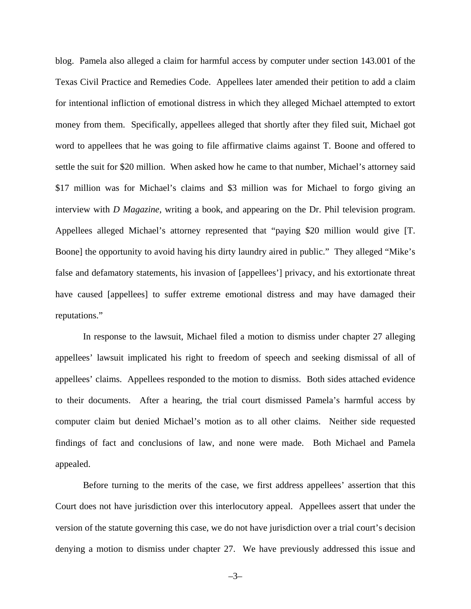blog. Pamela also alleged a claim for harmful access by computer under section 143.001 of the Texas Civil Practice and Remedies Code. Appellees later amended their petition to add a claim for intentional infliction of emotional distress in which they alleged Michael attempted to extort money from them. Specifically, appellees alleged that shortly after they filed suit, Michael got word to appellees that he was going to file affirmative claims against T. Boone and offered to settle the suit for \$20 million. When asked how he came to that number, Michael's attorney said \$17 million was for Michael's claims and \$3 million was for Michael to forgo giving an interview with *D Magazine*, writing a book, and appearing on the Dr. Phil television program. Appellees alleged Michael's attorney represented that "paying \$20 million would give [T. Boone] the opportunity to avoid having his dirty laundry aired in public." They alleged "Mike's false and defamatory statements, his invasion of [appellees'] privacy, and his extortionate threat have caused [appellees] to suffer extreme emotional distress and may have damaged their reputations."

In response to the lawsuit, Michael filed a motion to dismiss under chapter 27 alleging appellees' lawsuit implicated his right to freedom of speech and seeking dismissal of all of appellees' claims. Appellees responded to the motion to dismiss. Both sides attached evidence to their documents. After a hearing, the trial court dismissed Pamela's harmful access by computer claim but denied Michael's motion as to all other claims. Neither side requested findings of fact and conclusions of law, and none were made. Both Michael and Pamela appealed.

Before turning to the merits of the case, we first address appellees' assertion that this Court does not have jurisdiction over this interlocutory appeal. Appellees assert that under the version of the statute governing this case, we do not have jurisdiction over a trial court's decision denying a motion to dismiss under chapter 27. We have previously addressed this issue and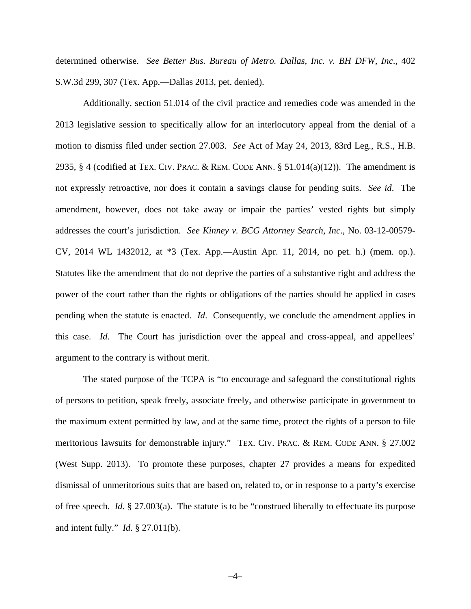determined otherwise. *See Better Bus. Bureau of Metro. Dallas, Inc. v. BH DFW, Inc*., 402 S.W.3d 299, 307 (Tex. App.—Dallas 2013, pet. denied).

Additionally, section 51.014 of the civil practice and remedies code was amended in the 2013 legislative session to specifically allow for an interlocutory appeal from the denial of a motion to dismiss filed under section 27.003. *See* Act of May 24, 2013, 83rd Leg., R.S., H.B. 2935, § 4 (codified at TEX. CIV. PRAC. & REM. CODE ANN. § 51.014(a)(12)). The amendment is not expressly retroactive, nor does it contain a savings clause for pending suits. *See id*. The amendment, however, does not take away or impair the parties' vested rights but simply addresses the court's jurisdiction. *See Kinney v. BCG Attorney Search, Inc*., No. 03-12-00579- CV, 2014 WL 1432012, at \*3 (Tex. App.—Austin Apr. 11, 2014, no pet. h.) (mem. op.). Statutes like the amendment that do not deprive the parties of a substantive right and address the power of the court rather than the rights or obligations of the parties should be applied in cases pending when the statute is enacted. *Id*. Consequently, we conclude the amendment applies in this case. *Id*. The Court has jurisdiction over the appeal and cross-appeal, and appellees' argument to the contrary is without merit.

The stated purpose of the TCPA is "to encourage and safeguard the constitutional rights of persons to petition, speak freely, associate freely, and otherwise participate in government to the maximum extent permitted by law, and at the same time, protect the rights of a person to file meritorious lawsuits for demonstrable injury." TEX. CIV. PRAC. & REM. CODE ANN. § 27.002 (West Supp. 2013). To promote these purposes, chapter 27 provides a means for expedited dismissal of unmeritorious suits that are based on, related to, or in response to a party's exercise of free speech. *Id*. § 27.003(a). The statute is to be "construed liberally to effectuate its purpose and intent fully." *Id*. § 27.011(b).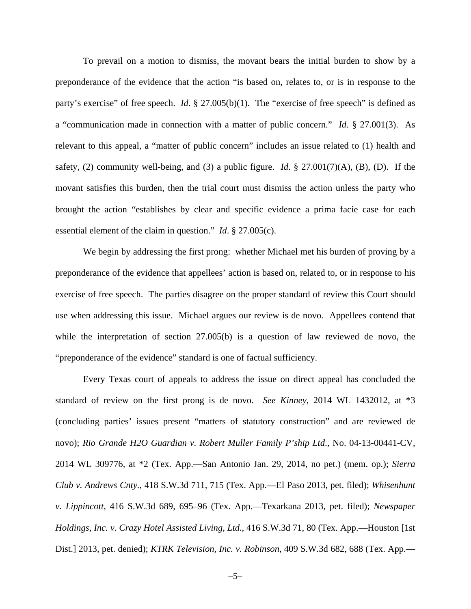To prevail on a motion to dismiss, the movant bears the initial burden to show by a preponderance of the evidence that the action "is based on, relates to, or is in response to the party's exercise" of free speech. *Id*. § 27.005(b)(1). The "exercise of free speech" is defined as a "communication made in connection with a matter of public concern." *Id*. § 27.001(3). As relevant to this appeal, a "matter of public concern" includes an issue related to (1) health and safety, (2) community well-being, and (3) a public figure. *Id*. § 27.001(7)(A), (B), (D). If the movant satisfies this burden, then the trial court must dismiss the action unless the party who brought the action "establishes by clear and specific evidence a prima facie case for each essential element of the claim in question." *Id*. § 27.005(c).

We begin by addressing the first prong: whether Michael met his burden of proving by a preponderance of the evidence that appellees' action is based on, related to, or in response to his exercise of free speech. The parties disagree on the proper standard of review this Court should use when addressing this issue. Michael argues our review is de novo. Appellees contend that while the interpretation of section 27.005(b) is a question of law reviewed de novo, the "preponderance of the evidence" standard is one of factual sufficiency.

Every Texas court of appeals to address the issue on direct appeal has concluded the standard of review on the first prong is de novo. *See Kinney*, 2014 WL 1432012, at \*3 (concluding parties' issues present "matters of statutory construction" and are reviewed de novo); *Rio Grande H2O Guardian v. Robert Muller Family P'ship Ltd*., No. 04-13-00441-CV, 2014 WL 309776, at \*2 (Tex. App.—San Antonio Jan. 29, 2014, no pet.) (mem. op.); *Sierra Club v. Andrews Cnty.*, 418 S.W.3d 711, 715 (Tex. App.—El Paso 2013, pet. filed); *Whisenhunt v. Lippincott*, 416 S.W.3d 689, 695–96 (Tex. App.—Texarkana 2013, pet. filed); *Newspaper Holdings, Inc. v. Crazy Hotel Assisted Living, Ltd.*, 416 S.W.3d 71, 80 (Tex. App.—Houston [1st Dist.] 2013, pet. denied); *KTRK Television, Inc. v. Robinson*, 409 S.W.3d 682, 688 (Tex. App.—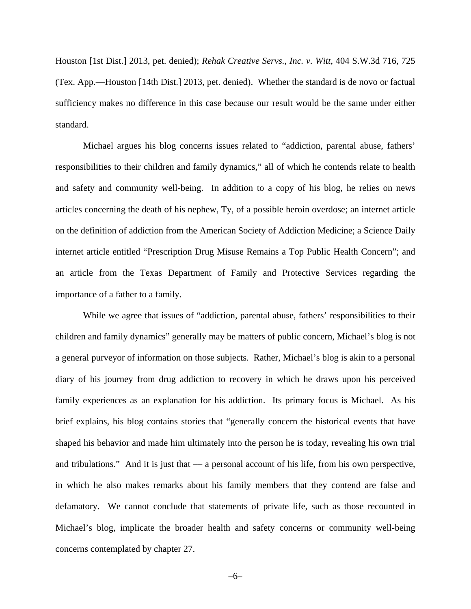Houston [1st Dist.] 2013, pet. denied); *Rehak Creative Servs., Inc. v. Witt*, 404 S.W.3d 716, 725 (Tex. App.—Houston [14th Dist.] 2013, pet. denied). Whether the standard is de novo or factual sufficiency makes no difference in this case because our result would be the same under either standard.

Michael argues his blog concerns issues related to "addiction, parental abuse, fathers' responsibilities to their children and family dynamics," all of which he contends relate to health and safety and community well-being. In addition to a copy of his blog, he relies on news articles concerning the death of his nephew, Ty, of a possible heroin overdose; an internet article on the definition of addiction from the American Society of Addiction Medicine; a Science Daily internet article entitled "Prescription Drug Misuse Remains a Top Public Health Concern"; and an article from the Texas Department of Family and Protective Services regarding the importance of a father to a family.

While we agree that issues of "addiction, parental abuse, fathers' responsibilities to their children and family dynamics" generally may be matters of public concern, Michael's blog is not a general purveyor of information on those subjects. Rather, Michael's blog is akin to a personal diary of his journey from drug addiction to recovery in which he draws upon his perceived family experiences as an explanation for his addiction. Its primary focus is Michael. As his brief explains, his blog contains stories that "generally concern the historical events that have shaped his behavior and made him ultimately into the person he is today, revealing his own trial and tribulations." And it is just that — a personal account of his life, from his own perspective, in which he also makes remarks about his family members that they contend are false and defamatory. We cannot conclude that statements of private life, such as those recounted in Michael's blog, implicate the broader health and safety concerns or community well-being concerns contemplated by chapter 27.

–6–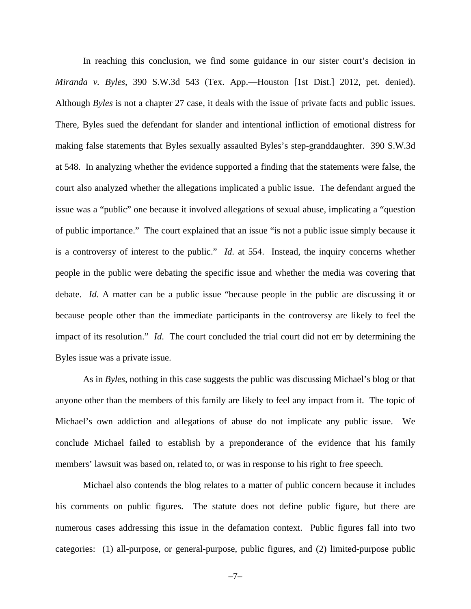In reaching this conclusion, we find some guidance in our sister court's decision in *Miranda v. Byles*, 390 S.W.3d 543 (Tex. App.—Houston [1st Dist.] 2012, pet. denied). Although *Byles* is not a chapter 27 case, it deals with the issue of private facts and public issues. There, Byles sued the defendant for slander and intentional infliction of emotional distress for making false statements that Byles sexually assaulted Byles's step-granddaughter. 390 S.W.3d at 548. In analyzing whether the evidence supported a finding that the statements were false, the court also analyzed whether the allegations implicated a public issue. The defendant argued the issue was a "public" one because it involved allegations of sexual abuse, implicating a "question of public importance." The court explained that an issue "is not a public issue simply because it is a controversy of interest to the public." *Id*. at 554. Instead, the inquiry concerns whether people in the public were debating the specific issue and whether the media was covering that debate. *Id*. A matter can be a public issue "because people in the public are discussing it or because people other than the immediate participants in the controversy are likely to feel the impact of its resolution." *Id*. The court concluded the trial court did not err by determining the Byles issue was a private issue.

As in *Byles*, nothing in this case suggests the public was discussing Michael's blog or that anyone other than the members of this family are likely to feel any impact from it. The topic of Michael's own addiction and allegations of abuse do not implicate any public issue. We conclude Michael failed to establish by a preponderance of the evidence that his family members' lawsuit was based on, related to, or was in response to his right to free speech.

Michael also contends the blog relates to a matter of public concern because it includes his comments on public figures. The statute does not define public figure, but there are numerous cases addressing this issue in the defamation context. Public figures fall into two categories: (1) all-purpose, or general-purpose, public figures, and (2) limited-purpose public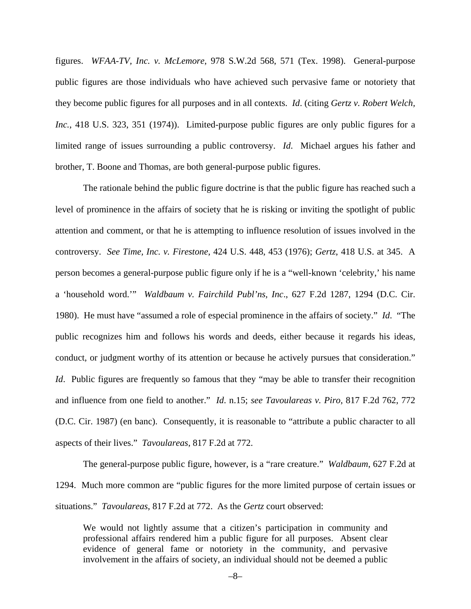figures. *WFAA-TV, Inc. v. McLemore*, 978 S.W.2d 568, 571 (Tex. 1998). General-purpose public figures are those individuals who have achieved such pervasive fame or notoriety that they become public figures for all purposes and in all contexts. *Id*. (citing *Gertz v. Robert Welch, Inc.*, 418 U.S. 323, 351 (1974)). Limited-purpose public figures are only public figures for a limited range of issues surrounding a public controversy. *Id*.Michael argues his father and brother, T. Boone and Thomas, are both general-purpose public figures.

The rationale behind the public figure doctrine is that the public figure has reached such a level of prominence in the affairs of society that he is risking or inviting the spotlight of public attention and comment, or that he is attempting to influence resolution of issues involved in the controversy. *See Time, Inc. v. Firestone*, 424 U.S. 448, 453 (1976); *Gertz*, 418 U.S. at 345. A person becomes a general-purpose public figure only if he is a "well-known 'celebrity,' his name a 'household word.'" *Waldbaum v. Fairchild Publ'ns, Inc*., 627 F.2d 1287, 1294 (D.C. Cir. 1980). He must have "assumed a role of especial prominence in the affairs of society." *Id*. "The public recognizes him and follows his words and deeds, either because it regards his ideas, conduct, or judgment worthy of its attention or because he actively pursues that consideration." *Id.* Public figures are frequently so famous that they "may be able to transfer their recognition and influence from one field to another." *Id*. n.15; *see Tavoulareas v. Piro*, 817 F.2d 762, 772 (D.C. Cir. 1987) (en banc). Consequently, it is reasonable to "attribute a public character to all aspects of their lives." *Tavoulareas*, 817 F.2d at 772.

The general-purpose public figure, however, is a "rare creature." *Waldbaum*, 627 F.2d at 1294. Much more common are "public figures for the more limited purpose of certain issues or situations." *Tavoulareas*, 817 F.2d at 772. As the *Gertz* court observed:

We would not lightly assume that a citizen's participation in community and professional affairs rendered him a public figure for all purposes. Absent clear evidence of general fame or notoriety in the community, and pervasive involvement in the affairs of society, an individual should not be deemed a public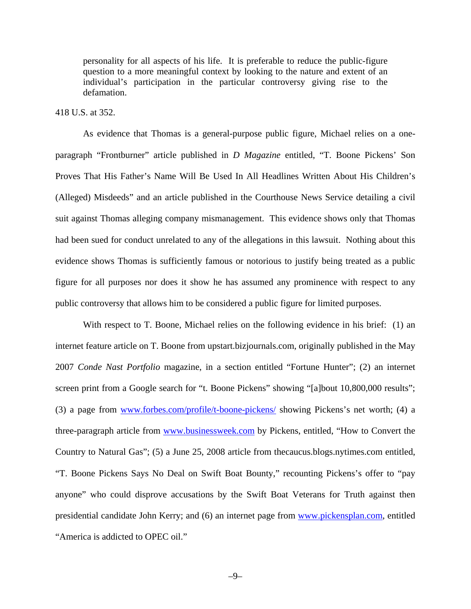personality for all aspects of his life. It is preferable to reduce the public-figure question to a more meaningful context by looking to the nature and extent of an individual's participation in the particular controversy giving rise to the defamation.

#### 418 U.S. at 352.

 As evidence that Thomas is a general-purpose public figure, Michael relies on a oneparagraph "Frontburner" article published in *D Magazine* entitled, "T. Boone Pickens' Son Proves That His Father's Name Will Be Used In All Headlines Written About His Children's (Alleged) Misdeeds" and an article published in the Courthouse News Service detailing a civil suit against Thomas alleging company mismanagement. This evidence shows only that Thomas had been sued for conduct unrelated to any of the allegations in this lawsuit. Nothing about this evidence shows Thomas is sufficiently famous or notorious to justify being treated as a public figure for all purposes nor does it show he has assumed any prominence with respect to any public controversy that allows him to be considered a public figure for limited purposes.

With respect to T. Boone, Michael relies on the following evidence in his brief: (1) an internet feature article on T. Boone from upstart.bizjournals.com, originally published in the May 2007 *Conde Nast Portfolio* magazine, in a section entitled "Fortune Hunter"; (2) an internet screen print from a Google search for "t. Boone Pickens" showing "[a]bout 10,800,000 results"; (3) a page from www.forbes.com/profile/t-boone-pickens/ showing Pickens's net worth; (4) a three-paragraph article from www.businessweek.com by Pickens, entitled, "How to Convert the Country to Natural Gas"; (5) a June 25, 2008 article from thecaucus.blogs.nytimes.com entitled, "T. Boone Pickens Says No Deal on Swift Boat Bounty," recounting Pickens's offer to "pay anyone" who could disprove accusations by the Swift Boat Veterans for Truth against then presidential candidate John Kerry; and (6) an internet page from www.pickensplan.com, entitled "America is addicted to OPEC oil."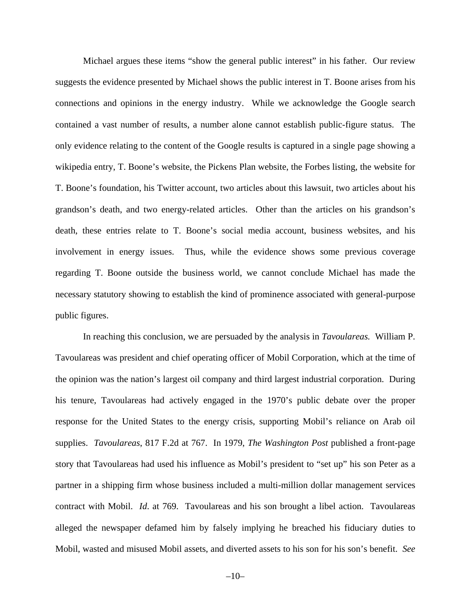Michael argues these items "show the general public interest" in his father. Our review suggests the evidence presented by Michael shows the public interest in T. Boone arises from his connections and opinions in the energy industry. While we acknowledge the Google search contained a vast number of results, a number alone cannot establish public-figure status. The only evidence relating to the content of the Google results is captured in a single page showing a wikipedia entry, T. Boone's website, the Pickens Plan website, the Forbes listing, the website for T. Boone's foundation, his Twitter account, two articles about this lawsuit, two articles about his grandson's death, and two energy-related articles. Other than the articles on his grandson's death, these entries relate to T. Boone's social media account, business websites, and his involvement in energy issues. Thus, while the evidence shows some previous coverage regarding T. Boone outside the business world, we cannot conclude Michael has made the necessary statutory showing to establish the kind of prominence associated with general-purpose public figures.

In reaching this conclusion, we are persuaded by the analysis in *Tavoulareas.* William P. Tavoulareas was president and chief operating officer of Mobil Corporation, which at the time of the opinion was the nation's largest oil company and third largest industrial corporation. During his tenure, Tavoulareas had actively engaged in the 1970's public debate over the proper response for the United States to the energy crisis, supporting Mobil's reliance on Arab oil supplies. *Tavoulareas*, 817 F.2d at 767. In 1979, *The Washington Post* published a front-page story that Tavoulareas had used his influence as Mobil's president to "set up" his son Peter as a partner in a shipping firm whose business included a multi-million dollar management services contract with Mobil. *Id*. at 769. Tavoulareas and his son brought a libel action. Tavoulareas alleged the newspaper defamed him by falsely implying he breached his fiduciary duties to Mobil, wasted and misused Mobil assets, and diverted assets to his son for his son's benefit. *See*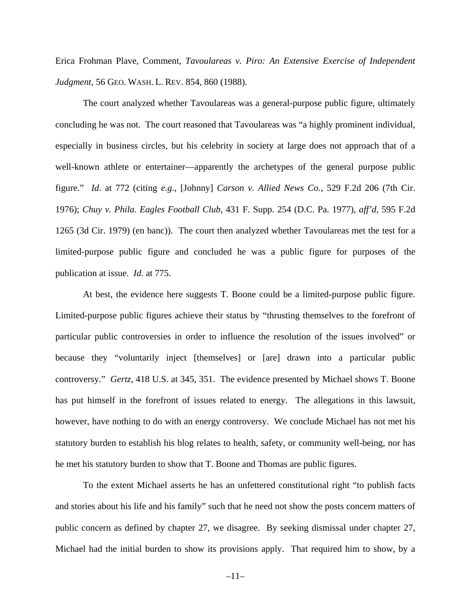Erica Frohman Plave, Comment, *Tavoulareas v. Piro: An Extensive Exercise of Independent Judgment*, 56 GEO. WASH. L. REV. 854, 860 (1988).

The court analyzed whether Tavoulareas was a general-purpose public figure, ultimately concluding he was not. The court reasoned that Tavoulareas was "a highly prominent individual, especially in business circles, but his celebrity in society at large does not approach that of a well-known athlete or entertainer—apparently the archetypes of the general purpose public figure." *Id*. at 772 (citing *e.g*., [Johnny] *Carson v. Allied News Co.*, 529 F.2d 206 (7th Cir. 1976); *Chuy v. Phila. Eagles Football Club*, 431 F. Supp. 254 (D.C. Pa. 1977), *aff'd*, 595 F.2d 1265 (3d Cir. 1979) (en banc)). The court then analyzed whether Tavoulareas met the test for a limited-purpose public figure and concluded he was a public figure for purposes of the publication at issue. *Id*. at 775.

At best, the evidence here suggests T. Boone could be a limited-purpose public figure. Limited-purpose public figures achieve their status by "thrusting themselves to the forefront of particular public controversies in order to influence the resolution of the issues involved" or because they "voluntarily inject [themselves] or [are] drawn into a particular public controversy." *Gertz*, 418 U.S. at 345, 351. The evidence presented by Michael shows T. Boone has put himself in the forefront of issues related to energy. The allegations in this lawsuit, however, have nothing to do with an energy controversy. We conclude Michael has not met his statutory burden to establish his blog relates to health, safety, or community well-being, nor has he met his statutory burden to show that T. Boone and Thomas are public figures.

To the extent Michael asserts he has an unfettered constitutional right "to publish facts and stories about his life and his family" such that he need not show the posts concern matters of public concern as defined by chapter 27, we disagree. By seeking dismissal under chapter 27, Michael had the initial burden to show its provisions apply. That required him to show, by a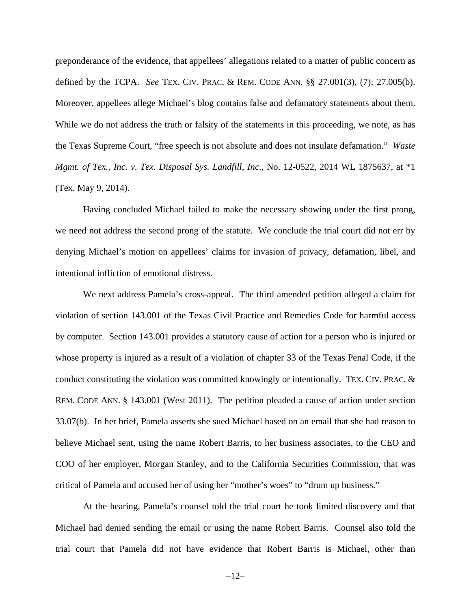preponderance of the evidence, that appellees' allegations related to a matter of public concern as defined by the TCPA. *See* TEX. CIV. PRAC. & REM. CODE ANN. §§ 27.001(3), (7); 27.005(b). Moreover, appellees allege Michael's blog contains false and defamatory statements about them. While we do not address the truth or falsity of the statements in this proceeding, we note, as has the Texas Supreme Court, "free speech is not absolute and does not insulate defamation." *Waste Mgmt. of Tex., Inc. v. Tex. Disposal Sys. Landfill, Inc*., No. 12-0522, 2014 WL 1875637, at \*1 (Tex. May 9, 2014).

Having concluded Michael failed to make the necessary showing under the first prong, we need not address the second prong of the statute. We conclude the trial court did not err by denying Michael's motion on appellees' claims for invasion of privacy, defamation, libel, and intentional infliction of emotional distress.

We next address Pamela's cross-appeal. The third amended petition alleged a claim for violation of section 143.001 of the Texas Civil Practice and Remedies Code for harmful access by computer. Section 143.001 provides a statutory cause of action for a person who is injured or whose property is injured as a result of a violation of chapter 33 of the Texas Penal Code, if the conduct constituting the violation was committed knowingly or intentionally. TEX. CIV. PRAC. & REM. CODE ANN. § 143.001 (West 2011). The petition pleaded a cause of action under section 33.07(b). In her brief, Pamela asserts she sued Michael based on an email that she had reason to believe Michael sent, using the name Robert Barris, to her business associates, to the CEO and COO of her employer, Morgan Stanley, and to the California Securities Commission, that was critical of Pamela and accused her of using her "mother's woes" to "drum up business."

At the hearing, Pamela's counsel told the trial court he took limited discovery and that Michael had denied sending the email or using the name Robert Barris. Counsel also told the trial court that Pamela did not have evidence that Robert Barris is Michael, other than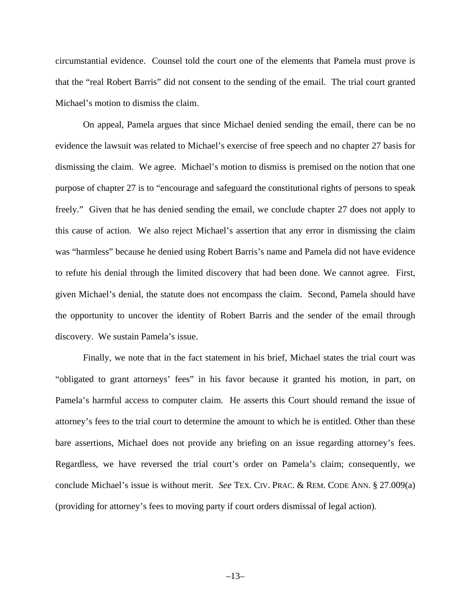circumstantial evidence. Counsel told the court one of the elements that Pamela must prove is that the "real Robert Barris" did not consent to the sending of the email. The trial court granted Michael's motion to dismiss the claim.

On appeal, Pamela argues that since Michael denied sending the email, there can be no evidence the lawsuit was related to Michael's exercise of free speech and no chapter 27 basis for dismissing the claim. We agree. Michael's motion to dismiss is premised on the notion that one purpose of chapter 27 is to "encourage and safeguard the constitutional rights of persons to speak freely." Given that he has denied sending the email, we conclude chapter 27 does not apply to this cause of action. We also reject Michael's assertion that any error in dismissing the claim was "harmless" because he denied using Robert Barris's name and Pamela did not have evidence to refute his denial through the limited discovery that had been done. We cannot agree. First, given Michael's denial, the statute does not encompass the claim. Second, Pamela should have the opportunity to uncover the identity of Robert Barris and the sender of the email through discovery. We sustain Pamela's issue.

Finally, we note that in the fact statement in his brief, Michael states the trial court was "obligated to grant attorneys' fees" in his favor because it granted his motion, in part, on Pamela's harmful access to computer claim. He asserts this Court should remand the issue of attorney's fees to the trial court to determine the amount to which he is entitled. Other than these bare assertions, Michael does not provide any briefing on an issue regarding attorney's fees. Regardless, we have reversed the trial court's order on Pamela's claim; consequently, we conclude Michael's issue is without merit. *See* TEX. CIV. PRAC. & REM. CODE ANN. § 27.009(a) (providing for attorney's fees to moving party if court orders dismissal of legal action).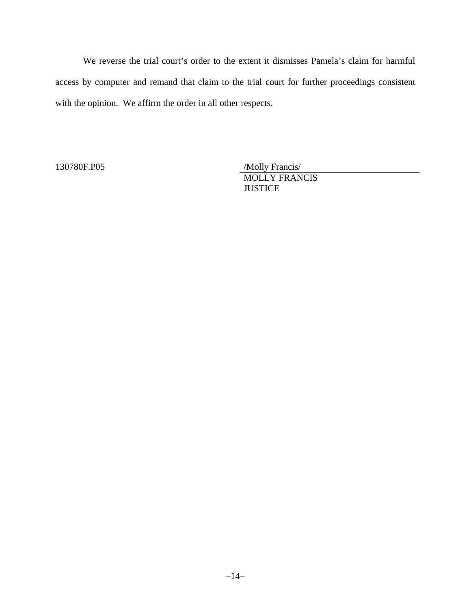We reverse the trial court's order to the extent it dismisses Pamela's claim for harmful access by computer and remand that claim to the trial court for further proceedings consistent with the opinion. We affirm the order in all other respects.

130780F.P05

/Molly Francis/ MOLLY FRANCIS **JUSTICE**